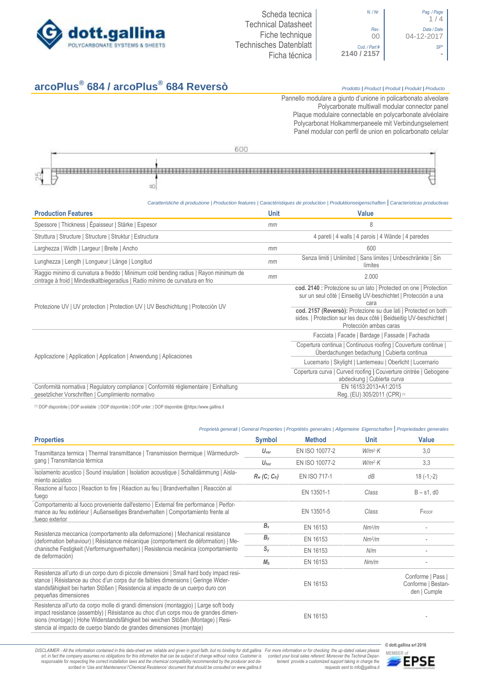



# **arcoPlus® 684 / arcoPlus®**

# **684 Reversò** *Prodotto <sup>|</sup> Product <sup>|</sup> Produit <sup>|</sup> Produkt <sup>|</sup> Producto*

Pannello modulare a giunto d'unione in policarbonato alveolare Polycarbonate multiwall modular connector panel Plaque modulaire connectable en polycarbonate alvéolaire Polycarbonat Holkammerpaneele mit Verbindungselement Panel [modular con perfil de union en](http://www.google.it/url?sa=t&rct=j&q=&esrc=s&source=web&cd=6&ved=0ahUKEwiPyOW6w_3PAhXLORoKHXbkAhUQFggtMAU&url=http%3A%2F%2Fwww.getsl.com%2Fes%2Fmateriales-construccion%2Fsabic-policarbonato%2Fplaca-solida%2Flexan-exell-d-placa-translucida%2F&usg=AFQjCNF4aMpg9CRcF79iWWH-XBKKMH3eWA&bvm=bv.136811127,d.bGs) policarbonato celular



## *Caratteristiche di produzione | Production features | Caractéristiques de production | Produktionseigenschaften* **|** *Caracteristicas productivas*

| <b>Production Features</b>                                                                                                                                            | <b>Unit</b>                                                 | Value                                                                                                                                                            |
|-----------------------------------------------------------------------------------------------------------------------------------------------------------------------|-------------------------------------------------------------|------------------------------------------------------------------------------------------------------------------------------------------------------------------|
| Spessore   Thickness   Épaisseur   Stärke   Espesor                                                                                                                   | mm                                                          | 8                                                                                                                                                                |
| Struttura   Structure   Structure   Struktur   Estructura                                                                                                             |                                                             | 4 pareti   4 walls   4 parois   4 Wände   4 paredes                                                                                                              |
| Larghezza   Width   Largeur   Breite   Ancho                                                                                                                          | mm                                                          | 600                                                                                                                                                              |
| Lunghezza   Length   Longueur   Länge   Longitud                                                                                                                      | mm                                                          | Senza limiti   Unlimited   Sans limites   Unbeschränkte   Sin<br>límites                                                                                         |
| Raggio minimo di curvatura a freddo   Minimum cold bending radius   Rayon minimum de<br>cintrage à froid   Mindestkaltbiegeradius   Radio mínimo de curvatura en frio | mm                                                          | 2.000                                                                                                                                                            |
| Protezione UV   UV protection   Protection UV   UV Beschichtung   Protección UV                                                                                       |                                                             | cod. 2140 : Protezione su un lato   Protected on one   Protection<br>sur un seul côté   Einseitig UV-beschichtet   Protección a una<br>cara                      |
|                                                                                                                                                                       |                                                             | cod. 2157 (Reversò): Protezione su due lati   Protected on both<br>sides.   Protection sur les deux côté   Beidseitig UV-beschichtet  <br>Protección ambas caras |
|                                                                                                                                                                       |                                                             | Facciata   Facade   Bardage   Fassade   Fachada                                                                                                                  |
|                                                                                                                                                                       |                                                             | Copertura continua   Continuous roofing   Couverture continue<br>Uberdachungen bedachung   Cubierta continua                                                     |
| Applicazione   Application   Application   Anwendung   Aplicaciones                                                                                                   | Lucernario   Skylight   Lanterneau   Oberlicht   Lucernario |                                                                                                                                                                  |
|                                                                                                                                                                       |                                                             | Copertura curva   Curved roofing   Couverture cintrée   Gebogene<br>abdeckung   Cubierta curva                                                                   |
| Conformità normativa   Regulatory compliance   Conformité réglementaire   Einhaltung<br>gesetzlicher Vorschriften   Cumplimiento normativo                            |                                                             | EN 16153:2013+A1:2015<br>Req. (EU) 305/2011 (CPR) (1)                                                                                                            |

(1) DOP disponibile | DOP available | DOP disponible | DOP unter: | DOP disponible @https://www.gallina.it

| <b>Symbol</b>                                                                                                                                                                                                                                                                                                                                                                                                                                                                                                                                                                                                                                                                                                                                                                                                                                                                                                                                                                                                                                                                                                                                                                                                                                                                                                                                                                                                                                                                                                                                                                                                                                                                                                                   | <b>Method</b>  | <b>Unit</b> | <b>Value</b>                                            |
|---------------------------------------------------------------------------------------------------------------------------------------------------------------------------------------------------------------------------------------------------------------------------------------------------------------------------------------------------------------------------------------------------------------------------------------------------------------------------------------------------------------------------------------------------------------------------------------------------------------------------------------------------------------------------------------------------------------------------------------------------------------------------------------------------------------------------------------------------------------------------------------------------------------------------------------------------------------------------------------------------------------------------------------------------------------------------------------------------------------------------------------------------------------------------------------------------------------------------------------------------------------------------------------------------------------------------------------------------------------------------------------------------------------------------------------------------------------------------------------------------------------------------------------------------------------------------------------------------------------------------------------------------------------------------------------------------------------------------------|----------------|-------------|---------------------------------------------------------|
| $U_{\text{ver}}$                                                                                                                                                                                                                                                                                                                                                                                                                                                                                                                                                                                                                                                                                                                                                                                                                                                                                                                                                                                                                                                                                                                                                                                                                                                                                                                                                                                                                                                                                                                                                                                                                                                                                                                | EN ISO 10077-2 | $W/m^2$ K   | 3,0                                                     |
| Proprietà generali   General Properties   Propriétés generales   Allgemeine Eigenschaften   Propriedades generales<br>Trasmittanza termica   Thermal transmittance   Transmission thermique   Wärmedurch-<br>EN ISO 10077-2<br>$W/m^2$ K<br>$U_{\text{hor}}$<br>Isolamento acustico   Sound insulation   Isolation acoustique   Schalldämmung   Aisla-<br>$R_w$ (C; C <sub>tr</sub> )<br><b>EN ISO 717-1</b><br>dB<br>Reazione al fuoco   Reaction to fire   Réaction au feu   Brandverhalten   Reacción al<br>EN 13501-1<br>Class<br>Comportamento al fuoco proveniente dall'esterno   External fire performance   Perfor-<br>EN 13501-5<br>Class<br>mance au feu extérieur   Außenseitiges Brandverhalten   Comportamiento frente al<br>$B_x$<br>EN 16153<br>Nm <sup>2</sup> /m<br>Resistenza meccanica (comportamento alla deformazione)   Mechanical resistance<br>$B_y$<br>EN 16153<br>Nm <sup>2</sup> /m<br>(deformation behaviour)   Résistance mécanique (comportement de déformation)   Me-<br>chanische Festigkeit (Verformungsverhalten)   Resistencia mecánica (comportamiento<br>$S_{y}$<br>EN 16153<br>N/m<br>M <sub>b</sub><br>EN 16153<br>Nm/m<br>Resistenza all'urto di un corpo duro di piccole dimensioni   Small hard body impact resi-<br>stance   Résistance au choc d'un corps dur de faibles dimensions   Geringe Wider-<br>EN 16153<br>standsfähigkeit bei harten Stößen   Resistencia al impacto de un cuerpo duro con<br>Resistenza all'urto da corpo molle di grandi dimensioni (montaggio)   Large soft body<br>impact resistance (assembly)   Résistance au choc d'un corps mou de grandes dimen-<br>EN 16153<br>sions (montage)   Hohe Widerstandsfähigkeit bei weichen Stößen (Montage)   Resi- | 3,3            |             |                                                         |
|                                                                                                                                                                                                                                                                                                                                                                                                                                                                                                                                                                                                                                                                                                                                                                                                                                                                                                                                                                                                                                                                                                                                                                                                                                                                                                                                                                                                                                                                                                                                                                                                                                                                                                                                 |                |             | $18(-1,-2)$                                             |
|                                                                                                                                                                                                                                                                                                                                                                                                                                                                                                                                                                                                                                                                                                                                                                                                                                                                                                                                                                                                                                                                                                                                                                                                                                                                                                                                                                                                                                                                                                                                                                                                                                                                                                                                 |                |             | $B - s1$ , d $0$                                        |
|                                                                                                                                                                                                                                                                                                                                                                                                                                                                                                                                                                                                                                                                                                                                                                                                                                                                                                                                                                                                                                                                                                                                                                                                                                                                                                                                                                                                                                                                                                                                                                                                                                                                                                                                 |                |             | FROOF                                                   |
|                                                                                                                                                                                                                                                                                                                                                                                                                                                                                                                                                                                                                                                                                                                                                                                                                                                                                                                                                                                                                                                                                                                                                                                                                                                                                                                                                                                                                                                                                                                                                                                                                                                                                                                                 |                |             |                                                         |
|                                                                                                                                                                                                                                                                                                                                                                                                                                                                                                                                                                                                                                                                                                                                                                                                                                                                                                                                                                                                                                                                                                                                                                                                                                                                                                                                                                                                                                                                                                                                                                                                                                                                                                                                 |                |             |                                                         |
|                                                                                                                                                                                                                                                                                                                                                                                                                                                                                                                                                                                                                                                                                                                                                                                                                                                                                                                                                                                                                                                                                                                                                                                                                                                                                                                                                                                                                                                                                                                                                                                                                                                                                                                                 |                |             |                                                         |
|                                                                                                                                                                                                                                                                                                                                                                                                                                                                                                                                                                                                                                                                                                                                                                                                                                                                                                                                                                                                                                                                                                                                                                                                                                                                                                                                                                                                                                                                                                                                                                                                                                                                                                                                 |                |             |                                                         |
|                                                                                                                                                                                                                                                                                                                                                                                                                                                                                                                                                                                                                                                                                                                                                                                                                                                                                                                                                                                                                                                                                                                                                                                                                                                                                                                                                                                                                                                                                                                                                                                                                                                                                                                                 |                |             | Conforme   Pass  <br>Conforme   Bestan-<br>den   Cumple |
|                                                                                                                                                                                                                                                                                                                                                                                                                                                                                                                                                                                                                                                                                                                                                                                                                                                                                                                                                                                                                                                                                                                                                                                                                                                                                                                                                                                                                                                                                                                                                                                                                                                                                                                                 |                |             |                                                         |
|                                                                                                                                                                                                                                                                                                                                                                                                                                                                                                                                                                                                                                                                                                                                                                                                                                                                                                                                                                                                                                                                                                                                                                                                                                                                                                                                                                                                                                                                                                                                                                                                                                                                                                                                 |                |             |                                                         |

DISCLAIMER - All the information contained in this data-sheet are reliable and given in good faith, but no binding for dott.gallina For more information or for checking the up-dated values please<br>-srl, in fact the company -responsable for respecting the correct installation laws and the chemical compatibility recommended by the producer and de-<br>scribed in 'Use and Maintenance'/'Chemical Resistence' document that should be consulted on www.g

*tement provide a customized support taking in charge the requests sent to info@gallina.it*



**MEMBER of**<br>**MEMBER of**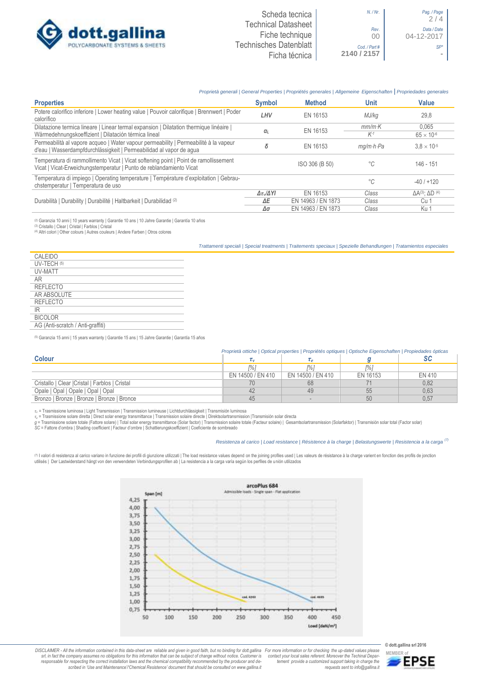

 $2 / 4$ 

### *Proprietà generali | General Properties | Propriétés generales | Allgemeine Eigenschaften* **|** *Propriedades generales*

| <b>Properties</b>                                                                                                                                           | <b>Symbol</b>              | <b>Method</b>      | Unit                    | Value                               |
|-------------------------------------------------------------------------------------------------------------------------------------------------------------|----------------------------|--------------------|-------------------------|-------------------------------------|
| Potere calorifico inferiore   Lower heating value   Pouvoir calorifique   Brennwert   Poder<br>calorífico                                                   | LHV                        | EN 16153           | MJ/kg                   | 29,8                                |
| Dilatazione termica lineare   Linear termal expansion   Dilatation thermique linéaire                                                                       |                            | EN 16153           | $mm/m$ ·K               | 0.065                               |
| Wärmedehnungskoeffizient   Dilatación térmica lineal                                                                                                        | $\alpha$                   |                    | $K-1$                   | $65 \times 10^{-6}$                 |
| Permeabilità al vapore acqueo   Water vapour permeability   Permeabilité à la vapeur<br>d'eau   Wasserdampfdurchlässigkeit   Permeabilidad al vapor de agua | δ                          | EN 16153           | $ma/m \cdot h \cdot Pa$ | $3.8 \times 10^{-5}$                |
| Temperatura di rammollimento Vicat   Vicat softening point   Point de ramollissement<br>Vicat   Vicat-Erweichungstemperatur   Punto de reblandamiento Vicat |                            | ISO 306 (B 50)     | °C                      | 146 - 151                           |
| Temperatura di impiego   Operating temperature   Température d'exploitation   Gebrau-<br>chstemperatur   Temperatura de uso                                 |                            |                    | $^{\circ}C$             | $-40/+120$                          |
| Durabilità   Durability   Durabilité   Haltbarkeit   Durabilidad (2)                                                                                        | $\Delta \tau_v/\Delta Y I$ | EN 16153           | Class                   | $\Delta A^{(3)}$ : $\Delta D^{(4)}$ |
|                                                                                                                                                             | ΔE                         | EN 14963 / EN 1873 | Class                   | Cu 1                                |
|                                                                                                                                                             | Δσ                         | EN 14963 / EN 1873 | Class                   | Ku 1                                |

@ Garanzia 10 anni | 10 years warranty | Garantie 10 ans | 10 Jahre Garantie | Garantia 10 años<br>@ Cristallo | Clear | Cristal | Farblos | Cristal<br>@ Altri colori | Other colours | Autres couleurs | Andere Farben | Otros co

*Trattamenti speciali | Special treatments | Traitements speciaux | Spezielle Behandlungen | Tratamientos especiales*

| CALEIDO                           |
|-----------------------------------|
| UV-TECH (5)                       |
| UV-MATT                           |
| AR                                |
| <b>REFLECTO</b>                   |
| AR ABSOLUTE                       |
| REFLECTO                          |
| IR                                |
| <b>BICOLOR</b>                    |
| AG (Anti-scratch / Anti-graffiti) |
|                                   |

(5) Garanzia 15 anni | 15 years warranty | Garantie 15 ans | 15 Jahre Garantie | Garantía 15 años

#### *Proprietà ottiche | Optical properties | Propriétés optiques | Optische Eigenschaften | Propiedades ópticas*

| <b>Colour</b>                                   |                   |                   |          |        |
|-------------------------------------------------|-------------------|-------------------|----------|--------|
|                                                 | [%]               |                   | 1% i     |        |
|                                                 | EN 14500 / EN 410 | EN 14500 / EN 410 | EN 16153 | EN 410 |
| Cristallo   Clear   Cristal   Farblos   Cristal |                   | 68                |          | 0,82   |
| Opale   Opal   Opale   Opal   Opal              |                   | 49                | 55       | 0,63   |
| Bronzo   Bronze   Bronze   Bronze   Bronce      | 45                |                   | 50       | 0.57   |

r., = Trasmissione luminosa | Light Transmission | Transmission lumineuse | Lichtdurchlässigkeit | Transmisión luminosa<br>r.∈ Trasmissione solare diretta | Direct solar energy transmittance | Transmission solare directole |

#### *Resistenza al carico | Load resistance | Résistence à la charge | Belastungswerte | Resistencia a la carga (7)*

(7) I valori di resistenza al carico variano in funzione dei profili di giunzione utilizzati | The load resistance values depend on the joining profiles used | Les valeurs de résistance à la charge varient en fonction des utilisés | Der Lastwiderstand hängt von den verwendeten Verbindungsprofilen ab | La resistencia a la carga varía según los perfiles de unión utilizados



DISCLAIMER - All the information contained in this data-sheet are reliable and given in good faith, but no binding for dott.gallina For more information or for checking the up-dated values please<br>-srl, in fact the company -responsable for respecting the correct installation laws and the chemical compatibility recommended by the producer and de-<br>scribed in 'Use and Maintenance'/'Chemical Resistence' document that should be consulted on www.g *tement provide a customized support taking in charge the requests sent to info@gallina.it*



**MEMBER of**<br>**EPSE**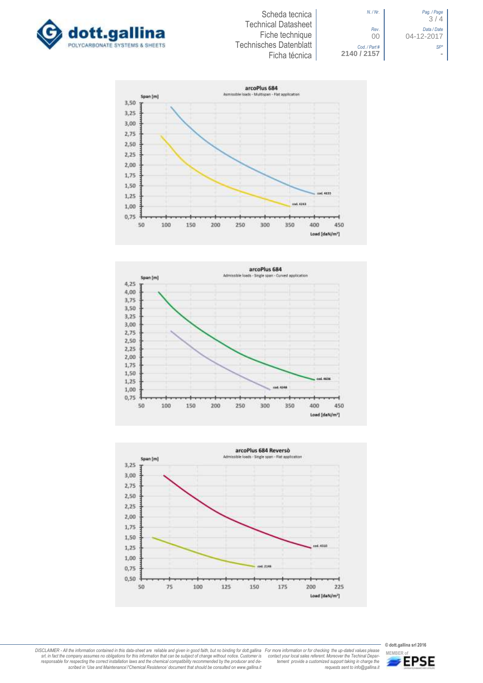



*N. / Nr*. *Pag. / Page* 3 / 4 *Rev*. *Data / Date* 00 04-12-2017 *Cod. / Part # SP\**







**© dott.gallina srl 2016** *tement provide a customized support taking in charge the requests sent to info@gallina.it* **MEMBER of**<br>**MEMBER of** 

DISCLAIMER - All the information contained in this data-sheet are reliable and given in good faith, but no binding for dott.gallina For more information or for checking the up-dated values please<br>-srl, in fact the company -responsable for respecting the correct installation laws and the chemical compatibility recommended by the producer and de-<br>scribed in 'Use and Maintenance'/'Chemical Resistence' document that should be consulted on www.g